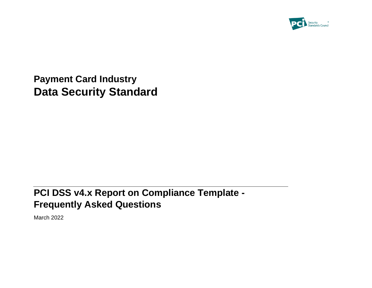

**Payment Card Industry Data Security Standard**

# **PCI DSS v4.x Report on Compliance Template - Frequently Asked Questions**

March 2022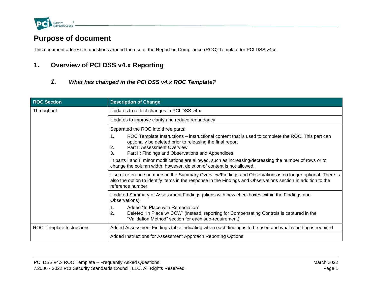

## **Purpose of document**

This document addresses questions around the use of the Report on Compliance (ROC) Template for PCI DSS v4.x.

## **1. Overview of PCI DSS v4.x Reporting**

*1. What has changed in the PCI DSS v4.x ROC Template?* 

| <b>ROC Section</b>               | <b>Description of Change</b>                                                                                                                                                                                                                                         |  |
|----------------------------------|----------------------------------------------------------------------------------------------------------------------------------------------------------------------------------------------------------------------------------------------------------------------|--|
| Throughout                       | Updates to reflect changes in PCI DSS v4.x                                                                                                                                                                                                                           |  |
|                                  | Updates to improve clarity and reduce redundancy                                                                                                                                                                                                                     |  |
|                                  | Separated the ROC into three parts:                                                                                                                                                                                                                                  |  |
|                                  | 1.<br>ROC Template Instructions – instructional content that is used to complete the ROC. This part can<br>optionally be deleted prior to releasing the final report<br>Part I: Assessment Overview<br>2.<br>3.<br>Part II: Findings and Observations and Appendices |  |
|                                  | In parts I and II minor modifications are allowed, such as increasing/decreasing the number of rows or to<br>change the column width; however, deletion of content is not allowed.                                                                                   |  |
|                                  | Use of reference numbers in the Summary Overview/Findings and Observations is no longer optional. There is<br>also the option to identify items in the response in the Findings and Observations section in addition to the<br>reference number.                     |  |
|                                  | Updated Summary of Assessment Findings (aligns with new checkboxes within the Findings and<br>Observations)                                                                                                                                                          |  |
|                                  | $\mathbf{1}$ .<br>Added "In Place with Remediation"<br>Deleted "In Place w/ CCW" (instead, reporting for Compensating Controls is captured in the<br>2.<br>"Validation Method" section for each sub-requirement)                                                     |  |
| <b>ROC Template Instructions</b> | Added Assessment Findings table indicating when each finding is to be used and what reporting is required                                                                                                                                                            |  |
|                                  | Added Instructions for Assessment Approach Reporting Options                                                                                                                                                                                                         |  |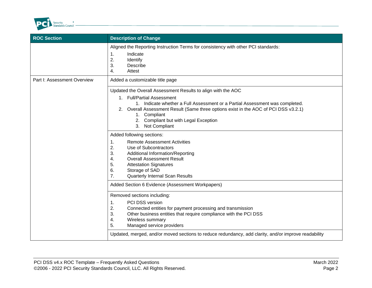

| <b>Description of Change</b>                                                                                                                                                                                                                                                                                                                                                   |  |
|--------------------------------------------------------------------------------------------------------------------------------------------------------------------------------------------------------------------------------------------------------------------------------------------------------------------------------------------------------------------------------|--|
| Aligned the Reporting Instruction Terms for consistency with other PCI standards:<br>Indicate<br>$\mathbf 1$ .<br>2.<br>Identify<br>3.<br>Describe<br>Attest<br>4.                                                                                                                                                                                                             |  |
| Added a customizable title page                                                                                                                                                                                                                                                                                                                                                |  |
| Updated the Overall Assessment Results to align with the AOC<br>1. Full/Partial Assessment<br>1. Indicate whether a Full Assessment or a Partial Assessment was completed.<br>2. Overall Assessment Result (Same three options exist in the AOC of PCI DSS v3.2.1)<br>1. Compliant<br>2. Compliant but with Legal Exception<br>3. Not Compliant                                |  |
| Added following sections:<br><b>Remote Assessment Activities</b><br>$\mathbf 1$ .<br>2.<br>Use of Subcontractors<br>3.<br><b>Additional Information/Reporting</b><br><b>Overall Assessment Result</b><br>4.<br>5.<br><b>Attestation Signatures</b><br>Storage of SAD<br>6.<br><b>Quarterly Internal Scan Results</b><br>7.<br>Added Section 6 Evidence (Assessment Workpapers) |  |
| Removed sections including:<br>PCI DSS version<br>1.<br>2.<br>Connected entities for payment processing and transmission<br>3.<br>Other business entities that require compliance with the PCI DSS<br>4.<br>Wireless summary<br>Managed service providers<br>5.<br>Updated, merged, and/or moved sections to reduce redundancy, add clarity, and/or improve readability        |  |
|                                                                                                                                                                                                                                                                                                                                                                                |  |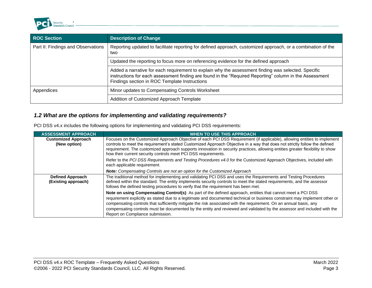

| <b>ROC Section</b>                 | <b>Description of Change</b>                                                                                                                                                                                                                                    |  |
|------------------------------------|-----------------------------------------------------------------------------------------------------------------------------------------------------------------------------------------------------------------------------------------------------------------|--|
| Part II: Findings and Observations | Reporting updated to facilitate reporting for defined approach, customized approach, or a combination of the<br>two                                                                                                                                             |  |
|                                    | Updated the reporting to focus more on referencing evidence for the defined approach                                                                                                                                                                            |  |
|                                    | Added a narrative for each requirement to explain why the assessment finding was selected. Specific<br>instructions for each assessment finding are found in the "Required Reporting" column in the Assessment<br>Findings section in ROC Template Instructions |  |
| Appendices                         | Minor updates to Compensating Controls Worksheet                                                                                                                                                                                                                |  |
|                                    | Addition of Customized Approach Template                                                                                                                                                                                                                        |  |

### *1.2 What are the options for implementing and validating requirements?*

|  | PCI DSS v4.x includes the following options for implementing and validating PCI DSS requirements: |  |  |  |
|--|---------------------------------------------------------------------------------------------------|--|--|--|
|--|---------------------------------------------------------------------------------------------------|--|--|--|

| <b>ASSESSMENT APPROACH</b>                     | <b>WHEN TO USE THIS APPROACH</b>                                                                                                                                                                                                                                                                                                                                                                                                                                                                                                |  |  |  |
|------------------------------------------------|---------------------------------------------------------------------------------------------------------------------------------------------------------------------------------------------------------------------------------------------------------------------------------------------------------------------------------------------------------------------------------------------------------------------------------------------------------------------------------------------------------------------------------|--|--|--|
| <b>Customized Approach</b><br>(New option)     | Focuses on the Customized Approach Objective of each PCI DSS Requirement (if applicable), allowing entities to implement<br>controls to meet the requirement's stated Customized Approach Objective in a way that does not strictly follow the defined<br>requirement. The customized approach supports innovation in security practices, allowing entities greater flexibility to show<br>how their current security controls meet PCI DSS requirements.                                                                       |  |  |  |
|                                                | Refer to the PCI DSS Requirements and Testing Procedures v4.0 for the Customized Approach Objectives, included with<br>each applicable requirement.                                                                                                                                                                                                                                                                                                                                                                             |  |  |  |
|                                                | <b>Note:</b> Compensating Controls are not an option for the Customized Approach                                                                                                                                                                                                                                                                                                                                                                                                                                                |  |  |  |
| <b>Defined Approach</b><br>(Existing approach) | The traditional method for implementing and validating PCI DSS and uses the Requirements and Testing Procedures<br>defined within the standard. The entity implements security controls to meet the stated requirements, and the assessor<br>follows the defined testing procedures to verify that the requirement has been met.                                                                                                                                                                                                |  |  |  |
|                                                | Note on using Compensating Control(s): As part of the defined approach, entities that cannot meet a PCI DSS<br>requirement explicitly as stated due to a legitimate and documented technical or business constraint may implement other or<br>compensating controls that sufficiently mitigate the risk associated with the requirement. On an annual basis, any<br>compensating controls must be documented by the entity and reviewed and validated by the assessor and included with the<br>Report on Compliance submission. |  |  |  |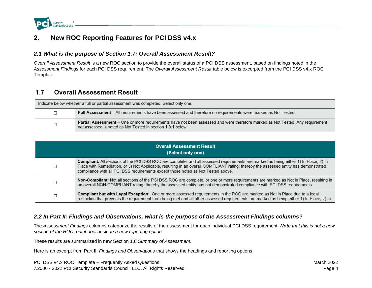

## **2. New ROC Reporting Features for PCI DSS v4.x**

#### *2.1 What is the purpose of Section 1.7: Overall Assessment Result?*

*Overall Assessment Result* is a new ROC section to provide the overall status of a PCI DSS assessment, based on findings noted in the *Assessment Findings* for each PCI DSS requirement. The *Overall Assessment Result* table below is excerpted from the PCI DSS v4.x ROC Template:

#### **Overall Assessment Result**  $1.7$

| Indicate below whether a full or partial assessment was completed. Select only one. |                                                                                                                                                                                              |  |
|-------------------------------------------------------------------------------------|----------------------------------------------------------------------------------------------------------------------------------------------------------------------------------------------|--|
|                                                                                     | <b>Full Assessment</b> – All requirements have been assessed and therefore no requirements were marked as Not Tested.                                                                        |  |
|                                                                                     | Partial Assessment - One or more requirements have not been assessed and were therefore marked as Not Tested. Any requirement<br>not assessed is noted as Not Tested in section 1.8.1 below. |  |

| <b>Overall Assessment Result</b><br>(Select only one) |                                                                                                                                                                                                                                                                                                                                                                  |  |
|-------------------------------------------------------|------------------------------------------------------------------------------------------------------------------------------------------------------------------------------------------------------------------------------------------------------------------------------------------------------------------------------------------------------------------|--|
| П                                                     | Compliant: All sections of the PCI DSS ROC are complete, and all assessed requirements are marked as being either 1) In Place, 2) In<br>Place with Remediation, or 3) Not Applicable, resulting in an overall COMPLIANT rating; thereby the assessed entity has demonstrated<br>compliance with all PCI DSS requirements except those noted as Not Tested above. |  |
| П                                                     | Non-Compliant: Not all sections of the PCI DSS ROC are complete, or one or more requirements are marked as Not in Place, resulting in<br>an overall NON-COMPLIANT rating; thereby the assessed entity has not demonstrated compliance with PCI DSS requirements.                                                                                                 |  |
| ┍                                                     | Compliant but with Legal Exception: One or more assessed requirements in the ROC are marked as Not in Place due to a legal<br>restriction that prevents the requirement from being met and all other assessed requirements are marked as being either 1) In Place, 2) In                                                                                         |  |

#### *2.2 In Part II: Findings and Observations, what is the purpose of the Assessment Findings columns?*

The *Assessment Findings* columns categorize the results of the assessment for each individual PCI DSS requirement. *Note that this is not a new section of the ROC, but it does include a new reporting option.*

These results are summarized in new Section 1.8 *Summary of Assessment*.

Here is an excerpt from Part II: *Findings and Observations* that shows the headings and reporting options: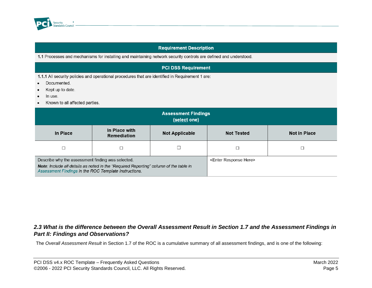

#### **Requirement Description**

1.1 Processes and mechanisms for installing and maintaining network security controls are defined and understood.

#### **PCI DSS Requirement**

1.1.1 All security policies and operational procedures that are identified in Requirement 1 are:

- Documented.  $\bullet$
- Kept up to date.  $\bullet$
- In use.  $\bullet$
- Known to all affected parties.  $\bullet$

| <b>Assessment Findings</b><br>(select one)                                                                                                                                                          |                                     |                   |                                     |  |
|-----------------------------------------------------------------------------------------------------------------------------------------------------------------------------------------------------|-------------------------------------|-------------------|-------------------------------------|--|
| In Place                                                                                                                                                                                            | In Place with<br><b>Remediation</b> | <b>Not Tested</b> | <b>Not in Place</b>                 |  |
|                                                                                                                                                                                                     |                                     |                   |                                     |  |
| Describe why the assessment finding was selected.<br>Note: Include all details as noted in the "Required Reporting" column of the table in<br>Assessment Findings in the ROC Template Instructions. |                                     |                   | <enter here="" response=""></enter> |  |

#### *2.3 What is the difference between the Overall Assessment Result in Section 1.7 and the Assessment Findings in Part II: Findings and Observations?*

The *Overall Assessment Result* in Section 1.7 of the ROC is a cumulative summary of all assessment findings, and is one of the following: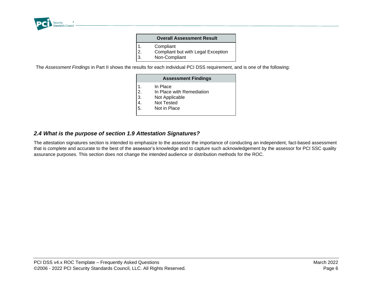

|    | <b>Overall Assessment Result</b>   |
|----|------------------------------------|
| 1. | Compliant                          |
| 2. | Compliant but with Legal Exception |

3. Non-Compliant

The *Assessment Findings* in Part II shows the results for each individual PCI DSS requirement, and is one of the following:

|                            | <b>Assessment Findings</b>                                                            |  |
|----------------------------|---------------------------------------------------------------------------------------|--|
| 1.<br>2.<br>3.<br>4.<br>5. | In Place<br>In Place with Remediation<br>Not Applicable<br>Not Tested<br>Not in Place |  |
|                            |                                                                                       |  |

#### *2.4 What is the purpose of section 1.9 Attestation Signatures?*

The attestation signatures section is intended to emphasize to the assessor the importance of conducting an independent, fact-based assessment that is complete and accurate to the best of the assessor's knowledge and to capture such acknowledgement by the assessor for PCI SSC quality assurance purposes. This section does not change the intended audience or distribution methods for the ROC.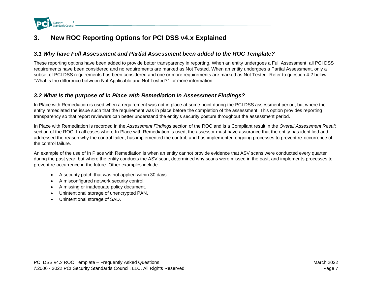

## **3. New ROC Reporting Options for PCI DSS v4.x Explained**

### *3.1 Why have Full Assessment and Partial Assessment been added to the ROC Template?*

These reporting options have been added to provide better transparency in reporting. When an entity undergoes a Full Assessment, all PCI DSS requirements have been considered and no requirements are marked as Not Tested. When an entity undergoes a Partial Assessment, only a subset of PCI DSS requirements has been considered and one or more requirements are marked as Not Tested. Refer to question 4.2 below "What is the difference between Not Applicable and Not Tested?" for more information.

#### *3.2 What is the purpose of In Place with Remediation in Assessment Findings?*

In Place with Remediation is used when a requirement was not in place at some point during the PCI DSS assessment period, but where the entity remediated the issue such that the requirement was in place before the completion of the assessment. This option provides reporting transparency so that report reviewers can better understand the entity's security posture throughout the assessment period.

In Place with Remediation is recorded in the *Assessment Findings* section of the ROC and is a Compliant result in the *Overall Assessment Result* section of the ROC. In all cases where In Place with Remediation is used, the assessor must have assurance that the entity has identified and addressed the reason why the control failed, has implemented the control, and has implemented ongoing processes to prevent re-occurrence of the control failure.

An example of the use of In Place with Remediation is when an entity cannot provide evidence that ASV scans were conducted every quarter during the past year, but where the entity conducts the ASV scan, determined why scans were missed in the past, and implements processes to prevent re-occurrence in the future. Other examples include:

- A security patch that was not applied within 30 days.
- A misconfigured network security control.
- A missing or inadequate policy document.
- Unintentional storage of unencrypted PAN.
- Unintentional storage of SAD.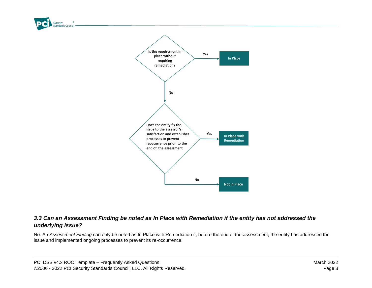

### *3.3 Can an Assessment Finding be noted as In Place with Remediation if the entity has not addressed the underlying issue?*

No. An *Assessment Finding* can only be noted as In Place with Remediation if, before the end of the assessment, the entity has addressed the issue and implemented ongoing processes to prevent its re-occurrence.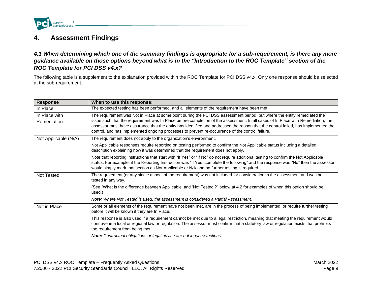

### **4. Assessment Findings**

*4.1 When determining which one of the summary findings is appropriate for a sub-requirement, is there any more guidance available on those options beyond what is in the "Introduction to the ROC Template" section of the ROC Template for PCI DSS v4.x?* 

The following table is a supplement to the explanation provided within the ROC Template for PCI DSS v4.x. Only one response should be selected at the sub-requirement.

| <b>Response</b>              | When to use this response:                                                                                                                                                                                                                                                                                                                                                                                                                                                                           |  |  |
|------------------------------|------------------------------------------------------------------------------------------------------------------------------------------------------------------------------------------------------------------------------------------------------------------------------------------------------------------------------------------------------------------------------------------------------------------------------------------------------------------------------------------------------|--|--|
| In Place                     | The expected testing has been performed, and all elements of the requirement have been met.                                                                                                                                                                                                                                                                                                                                                                                                          |  |  |
| In Place with<br>Remediation | The requirement was Not in Place at some point during the PCI DSS assessment period, but where the entity remediated the<br>issue such that the requirement was In Place before completion of the assessment. In all cases of In Place with Remediation, the<br>assessor must have assurance that the entity has identified and addressed the reason that the control failed, has implemented the<br>control, and has implemented ongoing processes to prevent re-occurrence of the control failure. |  |  |
| Not Applicable (N/A)         | The requirement does not apply to the organization's environment.                                                                                                                                                                                                                                                                                                                                                                                                                                    |  |  |
|                              | Not Applicable responses require reporting on testing performed to confirm the Not Applicable status including a detailed<br>description explaining how it was determined that the requirement does not apply.                                                                                                                                                                                                                                                                                       |  |  |
|                              | Note that reporting instructions that start with "If Yes" or "If No" do not require additional testing to confirm the Not Applicable<br>status. For example, if the Reporting Instruction was "If Yes, complete the following" and the response was "No" then the assessor<br>would simply mark that section as Not Applicable or N/A and no further testing is required.                                                                                                                            |  |  |
| <b>Not Tested</b>            | The requirement (or any single aspect of the requirement) was not included for consideration in the assessment and was not<br>tested in any way.                                                                                                                                                                                                                                                                                                                                                     |  |  |
|                              | (See "What is the difference between Applicable' and 'Not Tested'?" below at 4.2 for examples of when this option should be<br>used.)                                                                                                                                                                                                                                                                                                                                                                |  |  |
|                              | Note: Where Not Tested is used, the assessment is considered a Partial Assessment.                                                                                                                                                                                                                                                                                                                                                                                                                   |  |  |
| Not in Place                 | Some or all elements of the requirement have not been met, are in the process of being implemented, or require further testing<br>before it will be known if they are In Place.                                                                                                                                                                                                                                                                                                                      |  |  |
|                              | This response is also used if a requirement cannot be met due to a legal restriction, meaning that meeting the requirement would<br>contravene a local or regional law or regulation. The assessor must confirm that a statutory law or regulation exists that prohibits<br>the requirement from being met.                                                                                                                                                                                          |  |  |
|                              | <b>Note:</b> Contractual obligations or legal advice are not legal restrictions.                                                                                                                                                                                                                                                                                                                                                                                                                     |  |  |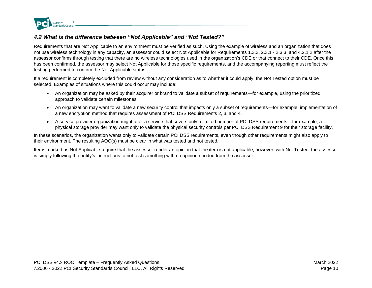

### *4.2 What is the difference between "Not Applicable" and "Not Tested?"*

Requirements that are Not Applicable to an environment must be verified as such. Using the example of wireless and an organization that does not use wireless technology in any capacity, an assessor could select Not Applicable for Requirements 1.3.3, 2.3.1 - 2.3.3, and 4.2.1.2 after the assessor confirms through testing that there are no wireless technologies used in the organization's CDE or that connect to their CDE. Once this has been confirmed, the assessor may select Not Applicable for those specific requirements, and the accompanying reporting must reflect the testing performed to confirm the Not Applicable status.

If a requirement is completely excluded from review without any consideration as to whether it could apply, the Not Tested option must be selected. Examples of situations where this could occur may include:

- An organization may be asked by their acquirer or brand to validate a subset of requirements—for example, using the prioritized approach to validate certain milestones.
- An organization may want to validate a new security control that impacts only a subset of requirements—for example, implementation of a new encryption method that requires assessment of PCI DSS Requirements 2, 3, and 4.
- A service provider organization might offer a service that covers only a limited number of PCI DSS requirements—for example, a physical storage provider may want only to validate the physical security controls per PCI DSS Requirement 9 for their storage facility.

In these scenarios, the organization wants only to validate certain PCI DSS requirements, even though other requirements might also apply to their environment. The resulting AOC(s) must be clear in what was tested and not tested.

Items marked as Not Applicable require that the assessor render an opinion that the item is not applicable; however, with Not Tested, the assessor is simply following the entity's instructions to not test something with no opinion needed from the assessor.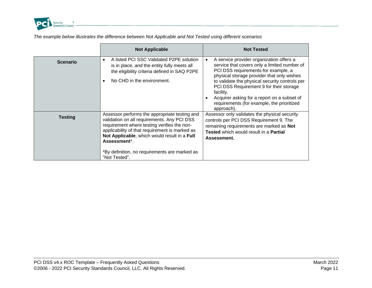

*The example below illustrates the difference between Not Applicable and Not Tested using different scenarios*

|                 | <b>Not Applicable</b>                                                                                                                                                                                                                                                                                                          | <b>Not Tested</b>                                                                                                                                                                                                                                                                                                                                                                                  |
|-----------------|--------------------------------------------------------------------------------------------------------------------------------------------------------------------------------------------------------------------------------------------------------------------------------------------------------------------------------|----------------------------------------------------------------------------------------------------------------------------------------------------------------------------------------------------------------------------------------------------------------------------------------------------------------------------------------------------------------------------------------------------|
| <b>Scenario</b> | A listed PCI SSC Validated P2PE solution<br>is in place, and the entity fully meets all<br>the eligibility criteria defined in SAQ P2PE<br>No CHD in the environment.                                                                                                                                                          | A service provider organization offers a<br>service that covers only a limited number of<br>PCI DSS requirements-for example, a<br>physical storage provider that only wishes<br>to validate the physical security controls per<br>PCI DSS Requirement 9 for their storage<br>facility.<br>Acquirer asking for a report on a subset of<br>requirements (for example, the prioritized<br>approach). |
| <b>Testing</b>  | Assessor performs the appropriate testing and<br>validation on all requirements. Any PCI DSS<br>requirement where testing verifies the non-<br>applicability of that requirement is marked as<br>Not Applicable, which would result in a Full<br>Assessment*<br>*By definition, no requirements are marked as<br>"Not Tested". | Assessor only validates the physical security<br>controls per PCI DSS Requirement 9. The<br>remaining requirements are marked as Not<br>Tested which would result in a Partial<br>Assessment.                                                                                                                                                                                                      |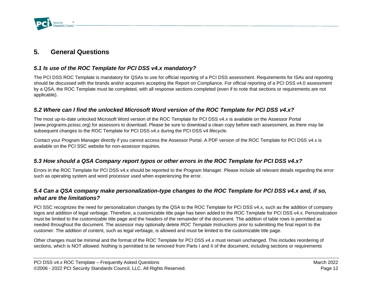

### **5. General Questions**

### *5.1 Is use of the ROC Template for PCI DSS v4.x mandatory?*

The PCI DSS ROC Template is mandatory for QSAs to use for official reporting of a PCI DSS assessment. Requirements for ISAs and reporting should be discussed with the brands and/or acquirers accepting the Report on Compliance. For official reporting of a PCI DSS v4.0 assessment by a QSA, the ROC Template must be completed, with all response sections completed (even if to note that sections or requirements are not applicable).

### *5.2 Where can I find the unlocked Microsoft Word version of the ROC Template for PCI DSS v4.x?*

The most up-to-date unlocked Microsoft Word version of the ROC Template for PCI DSS v4.x is available on the Assessor Portal (www.programs.pcissc.org) for assessors to download. Please be sure to download a clean copy before each assessment, as there may be subsequent changes to the ROC Template for PCI DSS v4.x during the PCI DSS v4 lifecycle.

Contact your Program Manager directly if you cannot access the Assessor Portal. A PDF version of the ROC Template for PCI DSS v4.x is available on the PCI SSC website for non-assessor inquiries.

#### *5.3 How should a QSA Company report typos or other errors in the ROC Template for PCI DSS v4.x?*

Errors in the ROC Template for PCI DSS v4.x should be reported to the Program Manager. Please include all relevant details regarding the error such as operating system and word processor used when experiencing the error.

### *5.4 Can a QSA company make personalization-type changes to the ROC Template for PCI DSS v4.x and, if so, what are the limitations?*

PCI SSC recognizes the need for personalization changes by the QSA to the ROC Template for PCI DSS v4.x, such as the addition of company logos and addition of legal verbiage. Therefore, a customizable title page has been added to the ROC Template for PCI DSS v4.x. Personalization must be limited to the customizable title page and the headers of the remainder of the document. The addition of table rows is permitted as needed throughout the document. The assessor may optionally delete *ROC Template Instructions* prior to submitting the final report to the customer. The addition of content, such as legal verbiage, is allowed and must be limited to the customizable title page.

Other changes must be minimal and the format of the ROC Template for PCI DSS v4.x must remain unchanged. This includes reordering of sections, which is NOT allowed. Nothing is permitted to be removed from Parts I and II of the document, including sections or requirements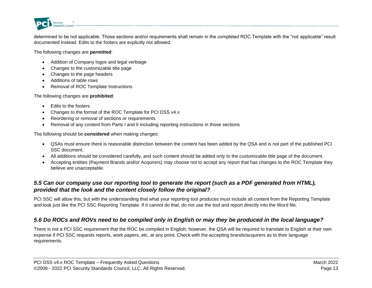

determined to be not applicable. Those sections and/or requirements shall remain in the completed ROC Template with the "not applicable" result documented instead. Edits to the footers are explicitly not allowed.

The following changes are **permitted**:

- Addition of Company logos and legal verbiage
- Changes to the customizable title page
- Changes to the page headers
- Additions of table rows
- Removal of ROC Template Instructions

The following changes are **prohibited**:

- Edits to the footers
- Changes to the format of the ROC Template for PCI DSS v4.x
- Reordering or removal of sections or requirements
- Removal of any content from Parts I and II including reporting instructions in those sections

The following should be **considered** when making changes:

- QSAs must ensure there is reasonable distinction between the content has been added by the QSA and is not part of the published PCI SSC document.
- All additions should be considered carefully, and such content should be added only to the customizable title page of the document.
- Accepting entities (Payment Brands and/or Acquirers) may choose not to accept any report that has changes to the ROC Template they believe are unacceptable.

### *5.5 Can our company use our reporting tool to generate the report (such as a PDF generated from HTML), provided that the look and the content closely follow the original?*

PCI SSC will allow this, but with the understanding that what your reporting tool produces must include all content from the Reporting Template and look just like the PCI SSC Reporting Template. If it cannot do that, do not use the tool and report directly into the Word file.

### *5.6 Do ROCs and ROVs need to be compiled only in English or may they be produced in the local language?*

There is not a PCI SSC requirement that the ROC be compiled in English; however, the QSA will be required to translate to English at their own expense if PCI SSC requests reports, work papers, etc. at any point. Check with the accepting brands/acquirers as to their language requirements.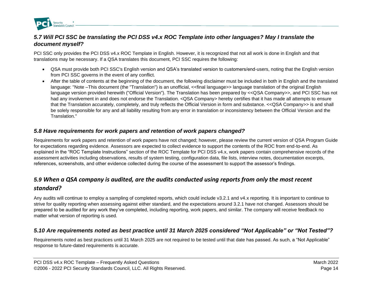

### *5.7 Will PCI SSC be translating the PCI DSS v4.x ROC Template into other languages? May I translate the document myself?*

PCI SSC only provides the PCI DSS v4.x ROC Template in English. However, it is recognized that not all work is done in English and that translations may be necessary. If a QSA translates this document, PCI SSC requires the following:

- QSA must provide both PCI SSC's English version and QSA's translated version to customers/end-users, noting that the English version from PCI SSC governs in the event of any conflict.
- After the table of contents at the beginning of the document, the following disclaimer must be included in both in English and the translated language: "Note –This document (the "Translation") is an unofficial, <<final language>> language translation of the original English language version provided herewith ("Official Version"). The Translation has been prepared by <<QSA Company>>, and PCI SSC has not had any involvement in and does not endorse the Translation. < QSA Company> hereby certifies that it has made all attempts to ensure that the Translation accurately, completely, and truly reflects the Official Version in form and substance. <<QSA Company>> is and shall be solely responsible for any and all liability resulting from any error in translation or inconsistency between the Official Version and the Translation."

#### *5.8 Have requirements for work papers and retention of work papers changed?*

Requirements for work papers and retention of work papers have not changed; however, please review the current version of QSA Program Guide for expectations regarding evidence. Assessors are expected to collect evidence to support the contents of the ROC from end-to-end. As explained in the "ROC Template Instructions" section of the ROC Template for PCI DSS v4.x, work papers contain comprehensive records of the assessment activities including observations, results of system testing, configuration data, file lists, interview notes, documentation excerpts, references, screenshots, and other evidence collected during the course of the assessment to support the assessor's findings.

### *5.9 When a QSA company is audited, are the audits conducted using reports from only the most recent standard?*

Any audits will continue to employ a sampling of completed reports, which could include v3.2.1 and v4.x reporting. It is important to continue to strive for quality reporting when assessing against either standard, and the expectations around 3.2.1 have not changed. Assessors should be prepared to be audited for any work they've completed, including reporting, work papers, and similar. The company will receive feedback no matter what version of reporting is used.

### *5.10 Are requirements noted as best practice until 31 March 2025 considered "Not Applicable" or "Not Tested"?*

Requirements noted as best practices until 31 March 2025 are not required to be tested until that date has passed. As such, a "Not Applicable" response to future-dated requirements is accurate.